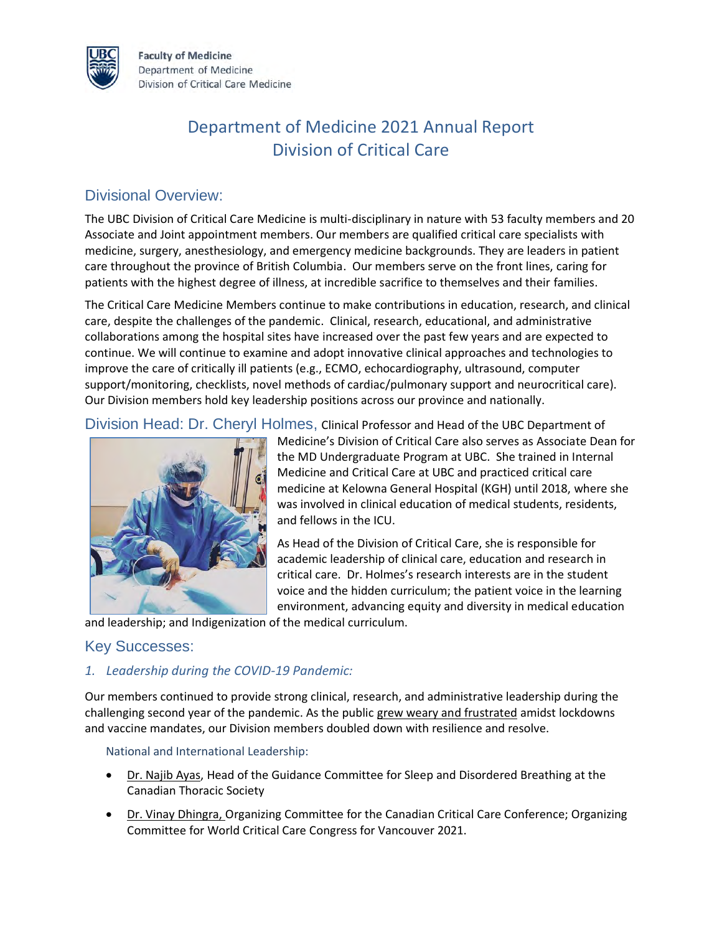

**Faculty of Medicine** Department of Medicine Division of Critical Care Medicine

# Department of Medicine 2021 Annual Report Division of Critical Care

# Divisional Overview:

The UBC Division of Critical Care Medicine is multi-disciplinary in nature with 53 faculty members and 20 Associate and Joint appointment members. Our members are qualified critical care specialists with medicine, surgery, anesthesiology, and emergency medicine backgrounds. They are leaders in patient care throughout the province of British Columbia. Our members serve on the front lines, caring for patients with the highest degree of illness, at incredible sacrifice to themselves and their families.

The Critical Care Medicine Members continue to make contributions in education, research, and clinical care, despite the challenges of the pandemic. Clinical, research, educational, and administrative collaborations among the hospital sites have increased over the past few years and are expected to continue. We will continue to examine and adopt innovative clinical approaches and technologies to improve the care of critically ill patients (e.g., ECMO, echocardiography, ultrasound, computer support/monitoring, checklists, novel methods of cardiac/pulmonary support and neurocritical care). Our Division members hold key leadership positions across our province and nationally.

Division Head: Dr. Cheryl Holmes, Clinical Professor and Head of the UBC Department of



Medicine's Division of Critical Care also serves as Associate Dean for the MD Undergraduate Program at UBC. She trained in Internal Medicine and Critical Care at UBC and practiced critical care medicine at Kelowna General Hospital (KGH) until 2018, where she was involved in clinical education of medical students, residents, and fellows in the ICU.

As Head of the Division of Critical Care, she is responsible for academic leadership of clinical care, education and research in critical care. Dr. Holmes's research interests are in the student voice and the hidden curriculum; the patient voice in the learning environment, advancing equity and diversity in medical education

and leadership; and Indigenization of the medical curriculum.

### Key Successes:

*1. Leadership during the COVID-19 Pandemic:* 

Our members continued to provide strong clinical, research, and administrative leadership during the challenging second year of the pandemic. As the public [grew weary and frustrated](https://bc.ctvnews.ca/we-re-just-human-beings-b-c-doctors-face-abuse-threats-doxing-amid-pandemic-fatigue-1.5447899?cache=yescli) amidst lockdowns and vaccine mandates, our Division members doubled down with resilience and resolve.

National and International Leadership:

- Dr. Najib Ayas, Head of the Guidance Committee for Sleep and Disordered Breathing at the Canadian Thoracic Society
- Dr. Vinay Dhingra, Organizing Committee for the Canadian Critical Care Conference; Organizing Committee for World Critical Care Congress for Vancouver 2021.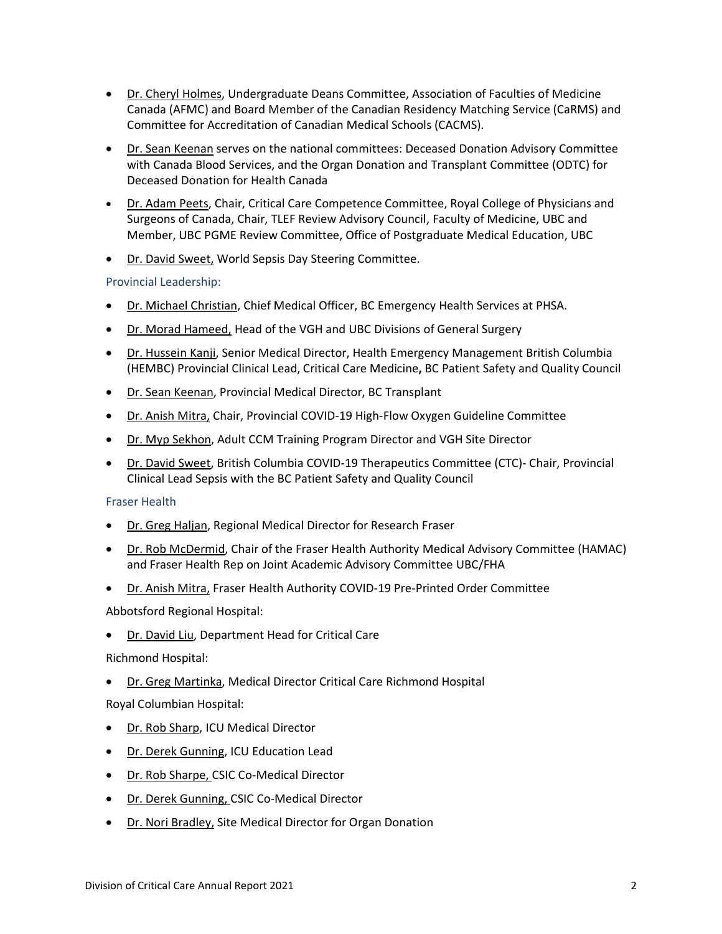- Dr. Cheryl Holmes, Undergraduate Deans Committee, Association of Faculties of Medicine Canada (AFMC) and Board Member of the Canadian Residency Matching Service (CaRMS) and Committee for Accreditation of Canadian Medical Schools (CACMS).
- Dr. Sean Keenan serves on the national committees: Deceased Donation Advisory Committee with Canada Blood Services, and the Organ Donation and Transplant Committee (ODTC) for Deceased Donation for Health Canada
- Dr. Adam Peets, Chair, Critical Care Competence Committee, Royal College of Physicians and Surgeons of Canada, Chair, TLEF Review Advisory Council, Faculty of Medicine, UBC and Member, UBC PGME Review Committee, Office of Postgraduate Medical Education, UBC
- Dr. David Sweet, World Sepsis Day Steering Committee.

#### Provincial Leadership:

- Dr. Michael Christian, Chief Medical Officer, BC Emergency Health Services at PHSA.
- Dr. Morad Hameed, Head of the VGH and UBC Divisions of General Surgery
- Dr. Hussein Kanji, Senior Medical Director, Health Emergency Management British Columbia (HEMBC) Provincial Clinical Lead, Critical Care Medicine**,** BC Patient Safety and Quality Council
- Dr. Sean Keenan, Provincial Medical Director, BC Transplant
- Dr. Anish Mitra, Chair, Provincial COVID-19 High-Flow Oxygen Guideline Committee
- Dr. Myp Sekhon, Adult CCM Training Program Director and VGH Site Director
- Dr. David Sweet, British Columbia COVID-19 Therapeutics Committee (CTC)- Chair, Provincial Clinical Lead Sepsis with the BC Patient Safety and Quality Council

#### Fraser Health

- **Dr. Greg Haljan, Regional Medical Director for Research Fraser**
- Dr. Rob McDermid, Chair of the Fraser Health Authority Medical Advisory Committee (HAMAC) and Fraser Health Rep on Joint Academic Advisory Committee UBC/FHA
- Dr. Anish Mitra, Fraser Health Authority COVID-19 Pre-Printed Order Committee

#### Abbotsford Regional Hospital:

• Dr. David Liu, Department Head for Critical Care

#### Richmond Hospital:

Dr. Greg Martinka, Medical Director Critical Care Richmond Hospital

#### Royal Columbian Hospital:

- Dr. Rob Sharp, ICU Medical Director
- Dr. Derek Gunning, ICU Education Lead
- Dr. Rob Sharpe, CSIC Co-Medical Director
- Dr. Derek Gunning, CSIC Co-Medical Director
- Dr. Nori Bradley, Site Medical Director for Organ Donation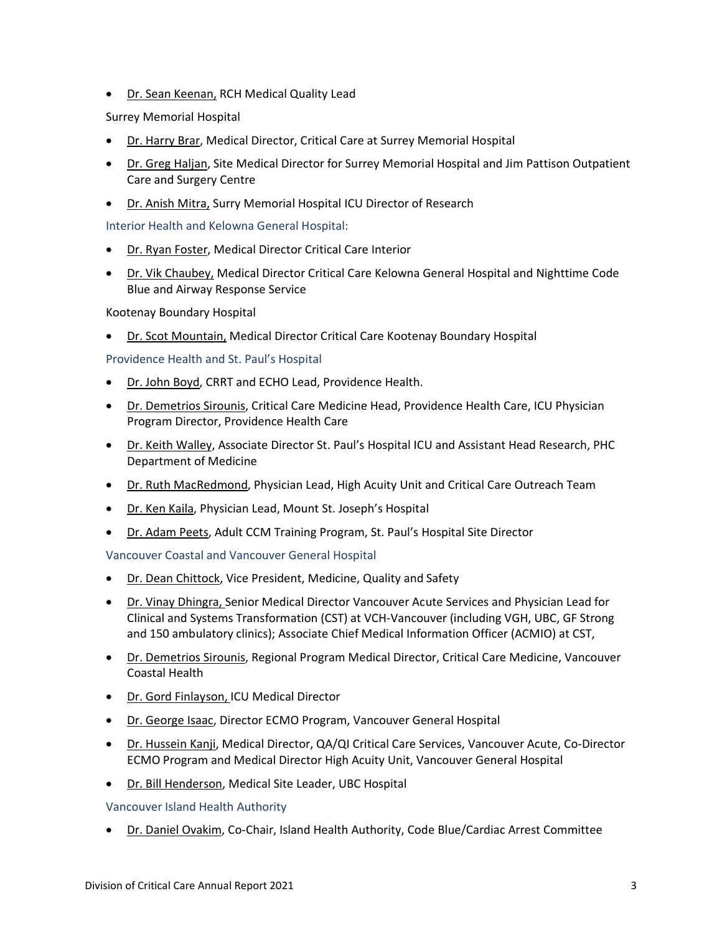• Dr. Sean Keenan, RCH Medical Quality Lead

Surrey Memorial Hospital

- Dr. Harry Brar, Medical Director, Critical Care at Surrey Memorial Hospital
- Dr. Greg Haljan, Site Medical Director for Surrey Memorial Hospital and Jim Pattison Outpatient Care and Surgery Centre
- Dr. Anish Mitra, Surry Memorial Hospital ICU Director of Research

Interior Health and Kelowna General Hospital:

- Dr. Ryan Foster, Medical Director Critical Care Interior
- Dr. Vik Chaubey, Medical Director Critical Care Kelowna General Hospital and Nighttime Code Blue and Airway Response Service

Kootenay Boundary Hospital

• Dr. Scot Mountain, Medical Director Critical Care Kootenay Boundary Hospital

Providence Health and St. Paul's Hospital

- Dr. John Boyd, CRRT and ECHO Lead, Providence Health.
- Dr. Demetrios Sirounis, Critical Care Medicine Head, Providence Health Care, ICU Physician Program Director, Providence Health Care
- Dr. Keith Walley, Associate Director St. Paul's Hospital ICU and Assistant Head Research, PHC Department of Medicine
- Dr. Ruth MacRedmond, Physician Lead, High Acuity Unit and Critical Care Outreach Team
- Dr. Ken Kaila, Physician Lead, Mount St. Joseph's Hospital
- Dr. Adam Peets, Adult CCM Training Program, St. Paul's Hospital Site Director

Vancouver Coastal and Vancouver General Hospital

- Dr. Dean Chittock, Vice President, Medicine, Quality and Safety
- Dr. Vinay Dhingra, Senior Medical Director Vancouver Acute Services and Physician Lead for Clinical and Systems Transformation (CST) at VCH-Vancouver (including VGH, UBC, GF Strong and 150 ambulatory clinics); Associate Chief Medical Information Officer (ACMIO) at CST,
- Dr. Demetrios Sirounis, Regional Program Medical Director, Critical Care Medicine, Vancouver Coastal Health
- Dr. Gord Finlayson, ICU Medical Director
- Dr. George Isaac, Director ECMO Program, Vancouver General Hospital
- Dr. Hussein Kanji, Medical Director, QA/QI Critical Care Services, Vancouver Acute, Co-Director ECMO Program and Medical Director High Acuity Unit, Vancouver General Hospital
- Dr. Bill Henderson, Medical Site Leader, UBC Hospital

Vancouver Island Health Authority

• Dr. Daniel Ovakim, Co-Chair, Island Health Authority, Code Blue/Cardiac Arrest Committee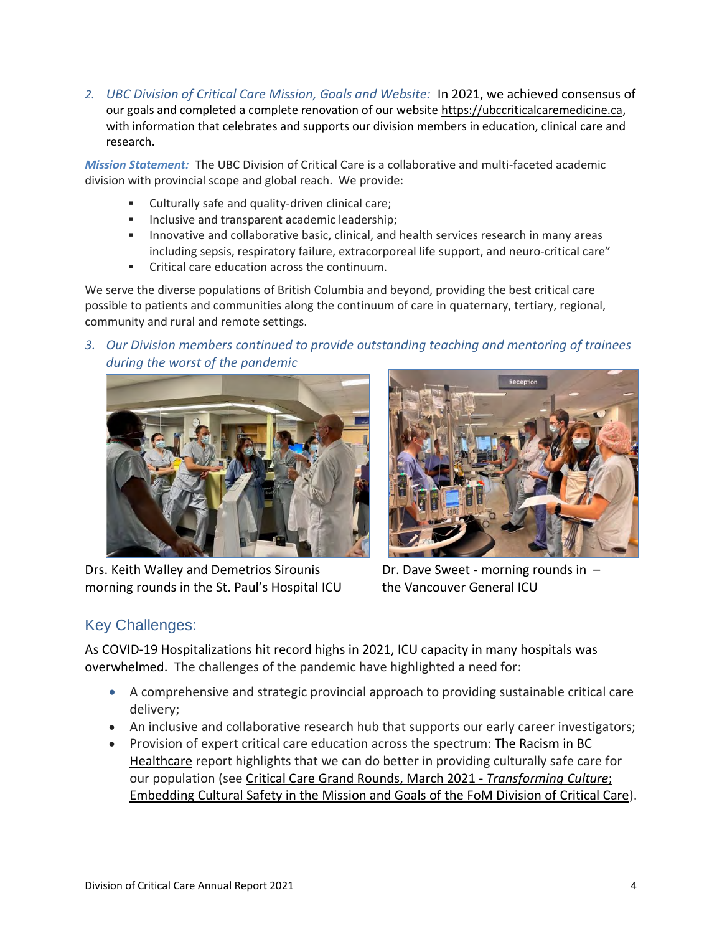*2. UBC Division of Critical Care Mission, Goals and Website:* In 2021, we achieved consensus of our goals and completed a complete renovation of our website [https://ubccriticalcaremedicine.ca,](https://ubccriticalcaremedicine.ca/) with information that celebrates and supports our division members in education, clinical care and research.

*Mission Statement:* The UBC Division of Critical Care is a collaborative and multi-faceted academic division with provincial scope and global reach. We provide:

- Culturally safe and quality-driven clinical care;
- **·** Inclusive and transparent academic leadership;
- **.** Innovative and collaborative basic, clinical, and health services research in many areas including sepsis, respiratory failure, extracorporeal life support, and neuro-critical care"
- Critical care education across the continuum.

We serve the diverse populations of British Columbia and beyond, providing the best critical care possible to patients and communities along the continuum of care in quaternary, tertiary, regional, community and rural and remote settings.

*3. Our Division members continued to provide outstanding teaching and mentoring of trainees during the worst of the pandemic*



Drs. Keith Walley and Demetrios Sirounis **Dr. Dave Sweet - morning rounds in** morning rounds in the St. Paul's Hospital ICU the Vancouver General ICU



# Key Challenges:

As [COVID-19 Hospitalizations hit record highs](https://www.cbc.ca/news/canada/british-columbia/covid-19-hospitalizations-data-april-2021-1.5988250) in 2021, ICU capacity in many hospitals was overwhelmed. The challenges of the pandemic have highlighted a need for:

- A comprehensive and strategic provincial approach to providing sustainable critical care delivery;
- An inclusive and collaborative research hub that supports our early career investigators;
- Provision of expert critical care education across the spectrum: The [Racism](https://engage.gov.bc.ca/addressingracism/) in BC [Healthcare](https://engage.gov.bc.ca/addressingracism/) report highlights that we can do better in providing culturally safe care for our population (see Critical Care Grand Rounds, March 2021 - *[Transforming](https://vimeo.com/574966930) Culture*; [Embedding](https://vimeo.com/574966930) Cultural Safety in the Mission and Goals of the FoM Division of Critical Care).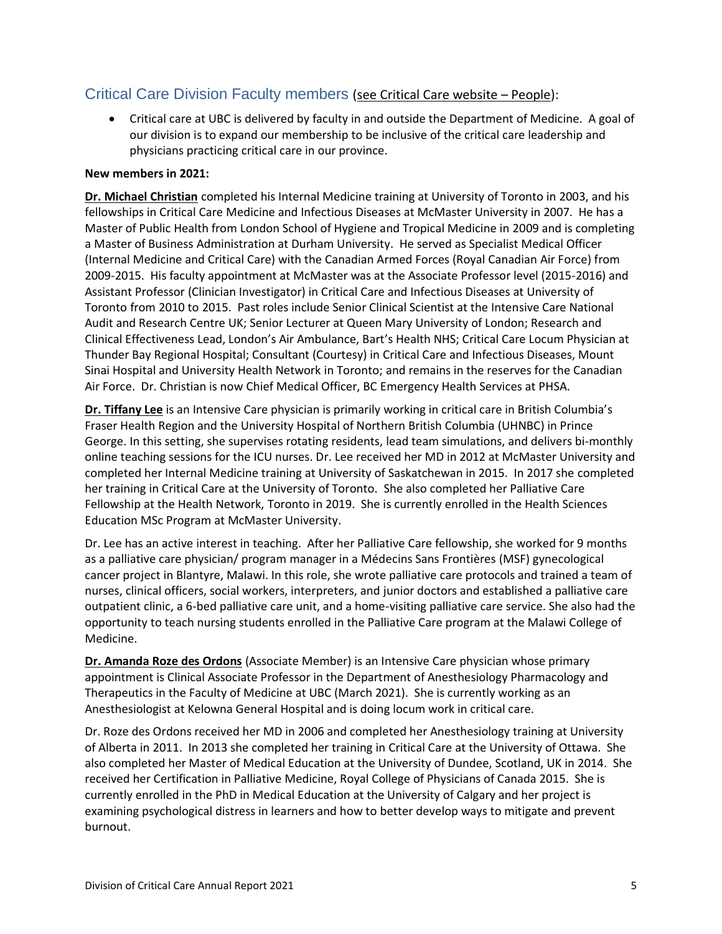### Critical Care Division Faculty members [\(see Critical Care website](https://ubccriticalcaremedicine.ca/faculty/) – People):

• Critical care at UBC is delivered by faculty in and outside the Department of Medicine. A goal of our division is to expand our membership to be inclusive of the critical care leadership and physicians practicing critical care in our province.

#### **New members in 2021:**

**Dr. Michael Christian** completed his Internal Medicine training at University of Toronto in 2003, and his fellowships in Critical Care Medicine and Infectious Diseases at McMaster University in 2007. He has a Master of Public Health from London School of Hygiene and Tropical Medicine in 2009 and is completing a Master of Business Administration at Durham University. He served as Specialist Medical Officer (Internal Medicine and Critical Care) with the Canadian Armed Forces (Royal Canadian Air Force) from 2009-2015. His faculty appointment at McMaster was at the Associate Professor level (2015-2016) and Assistant Professor (Clinician Investigator) in Critical Care and Infectious Diseases at University of Toronto from 2010 to 2015. Past roles include Senior Clinical Scientist at the Intensive Care National Audit and Research Centre UK; Senior Lecturer at Queen Mary University of London; Research and Clinical Effectiveness Lead, London's Air Ambulance, Bart's Health NHS; Critical Care Locum Physician at Thunder Bay Regional Hospital; Consultant (Courtesy) in Critical Care and Infectious Diseases, Mount Sinai Hospital and University Health Network in Toronto; and remains in the reserves for the Canadian Air Force. Dr. Christian is now Chief Medical Officer, BC Emergency Health Services at PHSA.

**Dr. Tiffany Lee** is an Intensive Care physician is primarily working in critical care in British Columbia's Fraser Health Region and the University Hospital of Northern British Columbia (UHNBC) in Prince George. In this setting, she supervises rotating residents, lead team simulations, and delivers bi-monthly online teaching sessions for the ICU nurses. Dr. Lee received her MD in 2012 at McMaster University and completed her Internal Medicine training at University of Saskatchewan in 2015. In 2017 she completed her training in Critical Care at the University of Toronto. She also completed her Palliative Care Fellowship at the Health Network, Toronto in 2019. She is currently enrolled in the Health Sciences Education MSc Program at McMaster University.

Dr. Lee has an active interest in teaching. After her Palliative Care fellowship, she worked for 9 months as a palliative care physician/ program manager in a Médecins Sans Frontières (MSF) gynecological cancer project in Blantyre, Malawi. In this role, she wrote palliative care protocols and trained a team of nurses, clinical officers, social workers, interpreters, and junior doctors and established a palliative care outpatient clinic, a 6-bed palliative care unit, and a home-visiting palliative care service. She also had the opportunity to teach nursing students enrolled in the Palliative Care program at the Malawi College of Medicine.

**Dr. Amanda Roze des Ordons** (Associate Member) is an Intensive Care physician whose primary appointment is Clinical Associate Professor in the Department of Anesthesiology Pharmacology and Therapeutics in the Faculty of Medicine at UBC (March 2021). She is currently working as an Anesthesiologist at Kelowna General Hospital and is doing locum work in critical care.

Dr. Roze des Ordons received her MD in 2006 and completed her Anesthesiology training at University of Alberta in 2011. In 2013 she completed her training in Critical Care at the University of Ottawa. She also completed her Master of Medical Education at the University of Dundee, Scotland, UK in 2014. She received her Certification in Palliative Medicine, Royal College of Physicians of Canada 2015. She is currently enrolled in the PhD in Medical Education at the University of Calgary and her project is examining psychological distress in learners and how to better develop ways to mitigate and prevent burnout.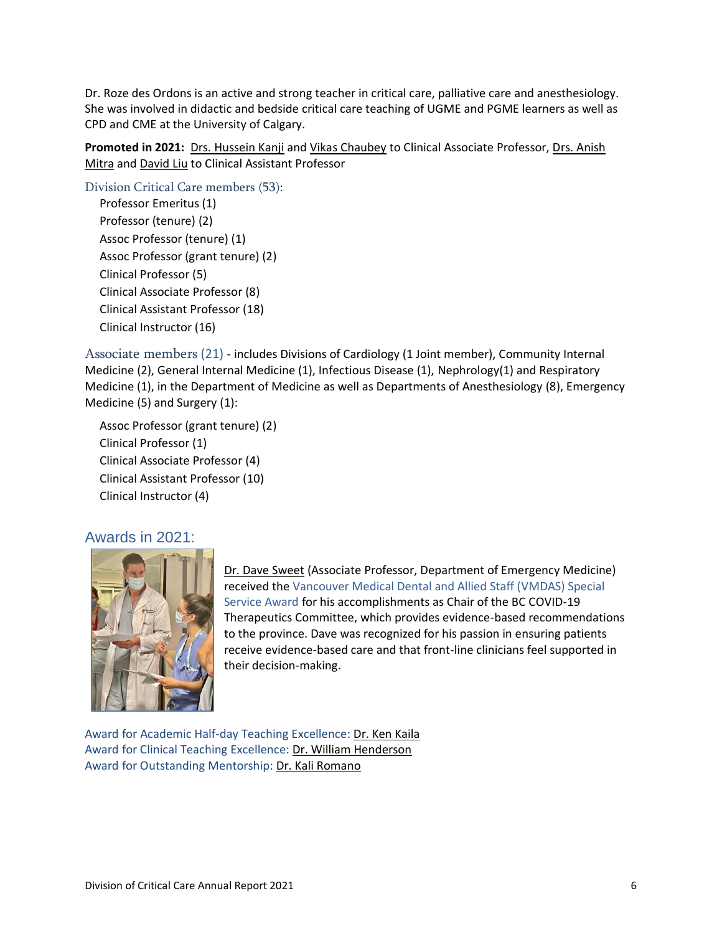Dr. Roze des Ordons is an active and strong teacher in critical care, palliative care and anesthesiology. She was involved in didactic and bedside critical care teaching of UGME and PGME learners as well as CPD and CME at the University of Calgary.

Promoted in 2021: Drs. Hussein Kanji and Vikas Chaubey to Clinical Associate Professor, Drs. Anish Mitra and David Liu to Clinical Assistant Professor

Division Critical Care members (53):

Professor Emeritus (1) Professor (tenure) (2) Assoc Professor (tenure) (1) Assoc Professor (grant tenure) (2) Clinical Professor (5) Clinical Associate Professor (8) Clinical Assistant Professor (18) Clinical Instructor (16)

Associate members (21) - includes Divisions of Cardiology (1 Joint member), Community Internal Medicine (2), General Internal Medicine (1), Infectious Disease (1), Nephrology(1) and Respiratory Medicine (1), in the Department of Medicine as well as Departments of Anesthesiology (8), Emergency Medicine (5) and Surgery (1):

Assoc Professor (grant tenure) (2) Clinical Professor (1) Clinical Associate Professor (4) Clinical Assistant Professor (10) Clinical Instructor (4)

### Awards in 2021:



Dr. Dave Sweet (Associate Professor, Department of Emergency Medicine) received the Vancouver Medical Dental and Allied Staff (VMDAS) Special Service Award for his accomplishments as Chair of the BC COVID-19 Therapeutics Committee, which provides evidence-based recommendations to the province. Dave was recognized for his passion in ensuring patients receive evidence-based care and that front-line clinicians feel supported in their decision-making.

Award for Academic Half-day Teaching Excellence: Dr. Ken Kaila Award for Clinical Teaching Excellence: Dr. William Henderson Award for Outstanding Mentorship: Dr. Kali Romano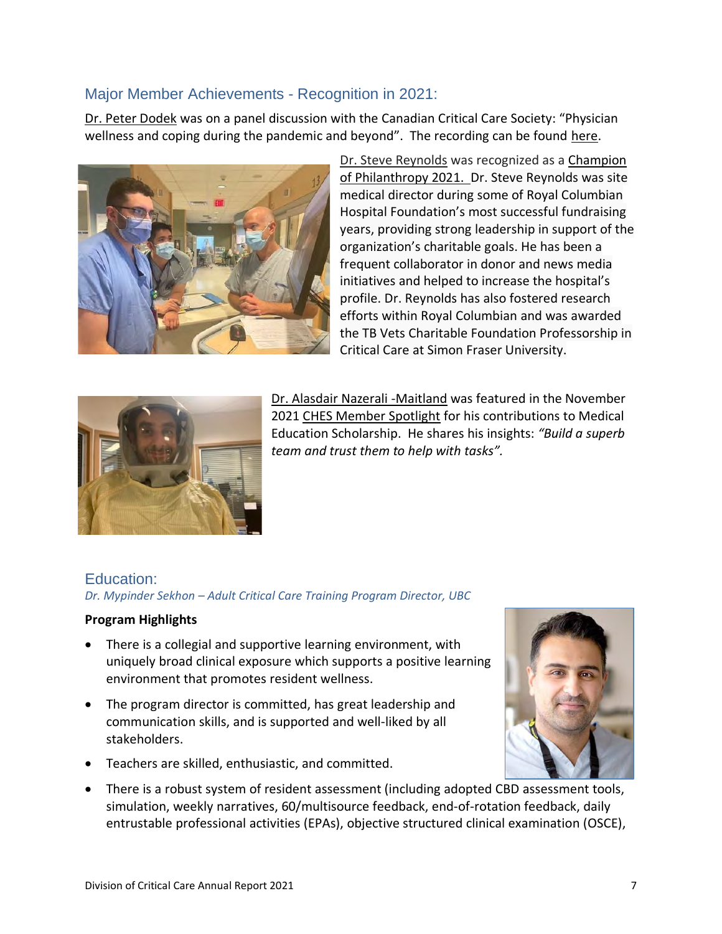# Major Member Achievements - Recognition in 2021:

Dr. Peter Dodek was on a panel discussion with the Canadian Critical Care Society: "Physician wellness and coping during the pandemic and beyond". The recording can be found [here.](https://www.canadiancriticalcare.org/page-1075470)



Dr. Steve Reynolds was recognized as [a Champion](https://www.youtube.com/watch?v=wDM6VlxB5kc)  [of Philanthropy 2021.](https://www.youtube.com/watch?v=wDM6VlxB5kc) Dr. Steve Reynolds was site medical director during some of Royal Columbian Hospital Foundation's most successful fundraising years, providing strong leadership in support of the organization's charitable goals. He has been a frequent collaborator in donor and news media initiatives and helped to increase the hospital's profile. Dr. Reynolds has also fostered research efforts within Royal Columbian and was awarded the TB Vets Charitable Foundation Professorship in Critical Care at Simon Fraser University.



Dr. Alasdair Nazerali -Maitland was featured in the November 2021 [CHES Member Spotlight](https://ches.med.ubc.ca/about-ches/ches-publications/scholar-in-highlight/) for his contributions to Medical Education Scholarship. He shares his insights: *"Build a superb team and trust them to help with tasks".* 

# Education:

*Dr. Mypinder Sekhon – Adult Critical Care Training Program Director, UBC*

### **Program Highlights**

- There is a collegial and supportive learning environment, with uniquely broad clinical exposure which supports a positive learning environment that promotes resident wellness.
- The program director is committed, has great leadership and communication skills, and is supported and well-liked by all stakeholders.
- Teachers are skilled, enthusiastic, and committed.



• There is a robust system of resident assessment (including adopted CBD assessment tools, simulation, weekly narratives, 60/multisource feedback, end-of-rotation feedback, daily entrustable professional activities (EPAs), objective structured clinical examination (OSCE),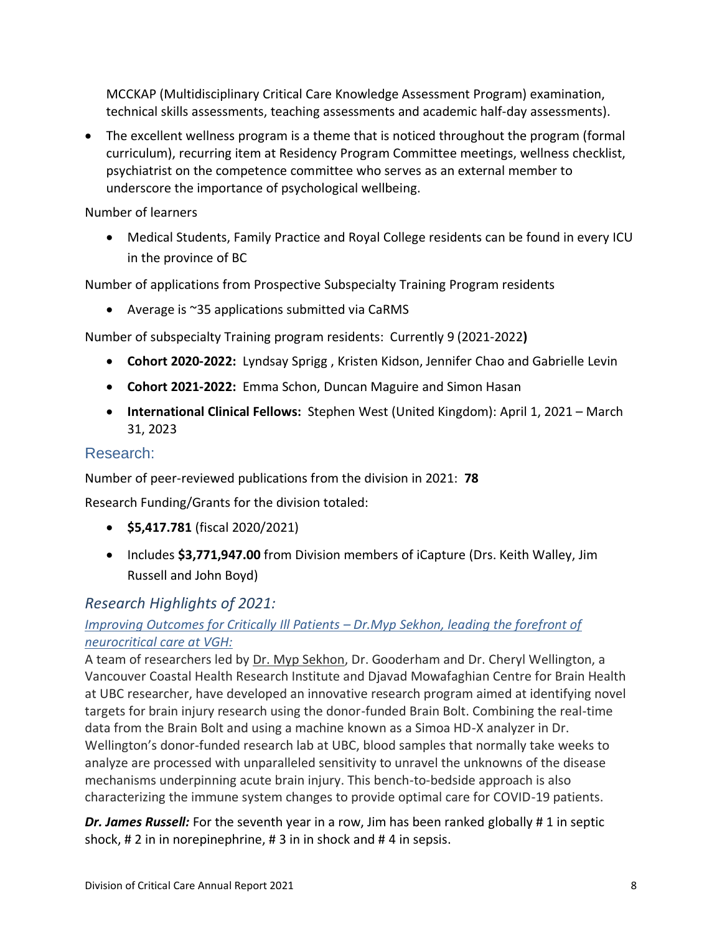MCCKAP (Multidisciplinary Critical Care Knowledge Assessment Program) examination, technical skills assessments, teaching assessments and academic half-day assessments).

• The excellent wellness program is a theme that is noticed throughout the program (formal curriculum), recurring item at Residency Program Committee meetings, wellness checklist, psychiatrist on the competence committee who serves as an external member to underscore the importance of psychological wellbeing.

Number of learners

• Medical Students, Family Practice and Royal College residents can be found in every ICU in the province of BC

Number of applications from Prospective Subspecialty Training Program residents

• Average is ~35 applications submitted via CaRMS

Number of subspecialty Training program residents: Currently 9 (2021-2022**)**

- **Cohort 2020-2022:** Lyndsay Sprigg , Kristen Kidson, Jennifer Chao and Gabrielle Levin
- **Cohort 2021-2022:** Emma Schon, Duncan Maguire and Simon Hasan
- **International Clinical Fellows:** Stephen West (United Kingdom): April 1, 2021 March 31, 2023

# Research:

Number of peer-reviewed publications from the division in 2021: **78**

Research Funding/Grants for the division totaled:

- **\$5,417.781** (fiscal 2020/2021)
- Includes **\$3,771,947.00** from Division members of iCapture (Drs. Keith Walley, Jim Russell and John Boyd)

### *Research Highlights of 2021:*

# *[Improving Outcomes for Critically Ill Patients](https://www.globalheroes.com/dr-myp-sekhon-neurocritical-care-at-vgh/) – Dr.Myp Sekhon, leading the forefront of neurocritical care at VGH:*

A team of researchers led by Dr. Myp Sekhon, Dr. Gooderham and Dr. Cheryl Wellington, a Vancouver Coastal Health Research Institute and Djavad Mowafaghian Centre for Brain Health at UBC researcher, have developed an innovative research program aimed at identifying novel targets for brain injury research using the donor-funded Brain Bolt. Combining the real-time data from the Brain Bolt and using a machine known as a Simoa HD-X analyzer in Dr. Wellington's donor-funded research lab at UBC, blood samples that normally take weeks to analyze are processed with unparalleled sensitivity to unravel the unknowns of the disease mechanisms underpinning acute brain injury. This bench-to-bedside approach is also characterizing the immune system changes to provide optimal care for COVID-19 patients.

*Dr. James Russell:* For the seventh year in a row, Jim has been ranked globally # 1 in septic shock, # 2 in in norepinephrine, # 3 in in shock and # 4 in sepsis.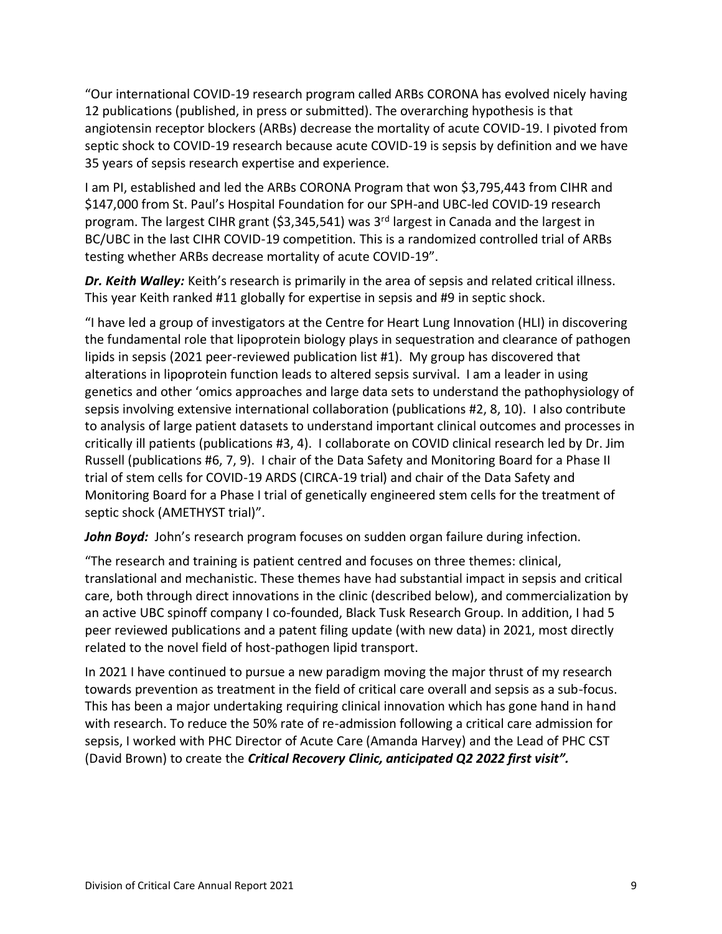"Our international COVID-19 research program called ARBs CORONA has evolved nicely having 12 publications (published, in press or submitted). The overarching hypothesis is that angiotensin receptor blockers (ARBs) decrease the mortality of acute COVID-19. I pivoted from septic shock to COVID-19 research because acute COVID-19 is sepsis by definition and we have 35 years of sepsis research expertise and experience.

I am PI, established and led the ARBs CORONA Program that won \$3,795,443 from CIHR and \$147,000 from St. Paul's Hospital Foundation for our SPH-and UBC-led COVID-19 research program. The largest CIHR grant (\$3,345,541) was 3<sup>rd</sup> largest in Canada and the largest in BC/UBC in the last CIHR COVID-19 competition. This is a randomized controlled trial of ARBs testing whether ARBs decrease mortality of acute COVID-19".

*Dr. Keith Walley:* Keith's research is primarily in the area of sepsis and related critical illness. This year Keith ranked #11 globally for expertise in sepsis and #9 in septic shock.

"I have led a group of investigators at the Centre for Heart Lung Innovation (HLI) in discovering the fundamental role that lipoprotein biology plays in sequestration and clearance of pathogen lipids in sepsis (2021 peer-reviewed publication list #1). My group has discovered that alterations in lipoprotein function leads to altered sepsis survival. I am a leader in using genetics and other 'omics approaches and large data sets to understand the pathophysiology of sepsis involving extensive international collaboration (publications #2, 8, 10). I also contribute to analysis of large patient datasets to understand important clinical outcomes and processes in critically ill patients (publications #3, 4). I collaborate on COVID clinical research led by Dr. Jim Russell (publications #6, 7, 9). I chair of the Data Safety and Monitoring Board for a Phase II trial of stem cells for COVID-19 ARDS (CIRCA-19 trial) and chair of the Data Safety and Monitoring Board for a Phase I trial of genetically engineered stem cells for the treatment of septic shock (AMETHYST trial)".

John Boyd: John's research program focuses on sudden organ failure during infection.

"The research and training is patient centred and focuses on three themes: clinical, translational and mechanistic. These themes have had substantial impact in sepsis and critical care, both through direct innovations in the clinic (described below), and commercialization by an active UBC spinoff company I co-founded, Black Tusk Research Group. In addition, I had 5 peer reviewed publications and a patent filing update (with new data) in 2021, most directly related to the novel field of host-pathogen lipid transport.

In 2021 I have continued to pursue a new paradigm moving the major thrust of my research towards prevention as treatment in the field of critical care overall and sepsis as a sub-focus. This has been a major undertaking requiring clinical innovation which has gone hand in hand with research. To reduce the 50% rate of re-admission following a critical care admission for sepsis, I worked with PHC Director of Acute Care (Amanda Harvey) and the Lead of PHC CST (David Brown) to create the *Critical Recovery Clinic, anticipated Q2 2022 first visit".*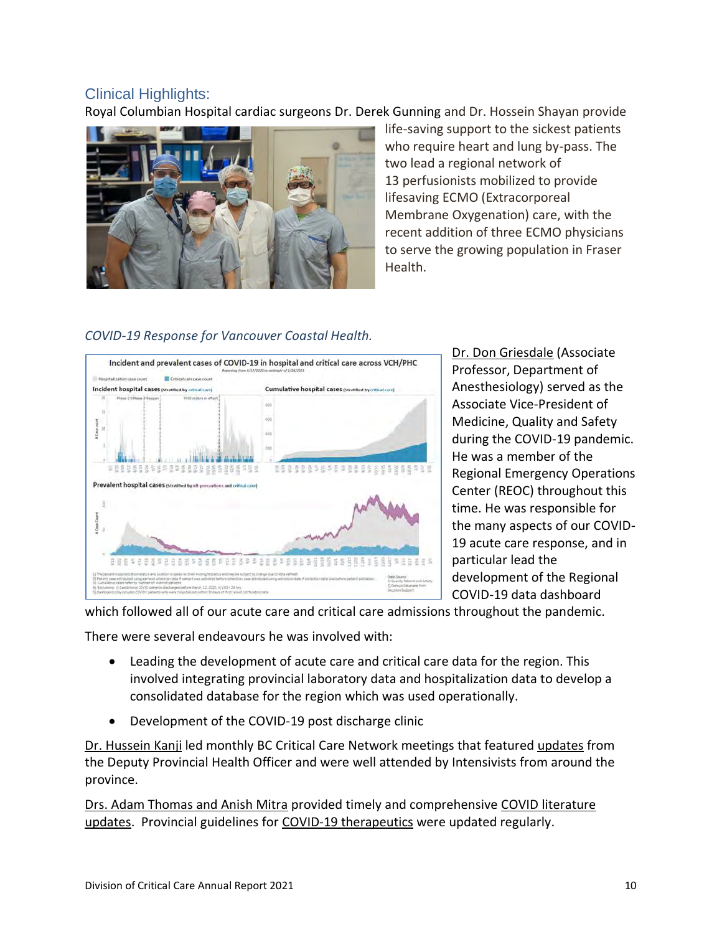# Clinical Highlights:

Royal Columbian Hospital cardiac surgeons Dr. Derek Gunning and Dr. Hossein Shayan provide



life-saving support to the sickest patients who require heart and lung by-pass. The two lead a regional network of 13 perfusionists mobilized to provide lifesaving ECMO (Extracorporeal Membrane Oxygenation) care, with the recent addition of three ECMO physicians to serve the growing population in Fraser Health.

### *COVID-19 Response for Vancouver Coastal Health.*



Dr. Don Griesdale (Associate Professor, Department of Anesthesiology) served as the Associate Vice-President of Medicine, Quality and Safety during the COVID-19 pandemic. He was a member of the Regional Emergency Operations Center (REOC) throughout this time. He was responsible for the many aspects of our COVID-19 acute care response, and in particular lead the development of the Regional COVID-19 data dashboard

which followed all of our acute care and critical care admissions throughout the pandemic.

There were several endeavours he was involved with:

- Leading the development of acute care and critical care data for the region. This involved integrating provincial laboratory data and hospitalization data to develop a consolidated database for the region which was used operationally.
- Development of the COVID-19 post discharge clinic

Dr. Hussein Kanji led monthly BC Critical Care Network meetings that featured [updates](https://bcpsqc.ca/wp-content/uploads/2021/12/2021-12-02-DRAFT-Data-Summary.pdf) from the Deputy Provincial Health Officer and were well attended by Intensivists from around the province.

Drs. Adam Thomas and Anish Mitra provided timely and comprehensive [COVID literature](https://bcpsqc.ca/improve-care/bc-critical-care-network/)  [updates.](https://bcpsqc.ca/improve-care/bc-critical-care-network/) Provincial guidelines for [COVID-19 therapeutics](http://www.bccdc.ca/health-professionals/clinical-resources/covid-19-care/treatments) were updated regularly.